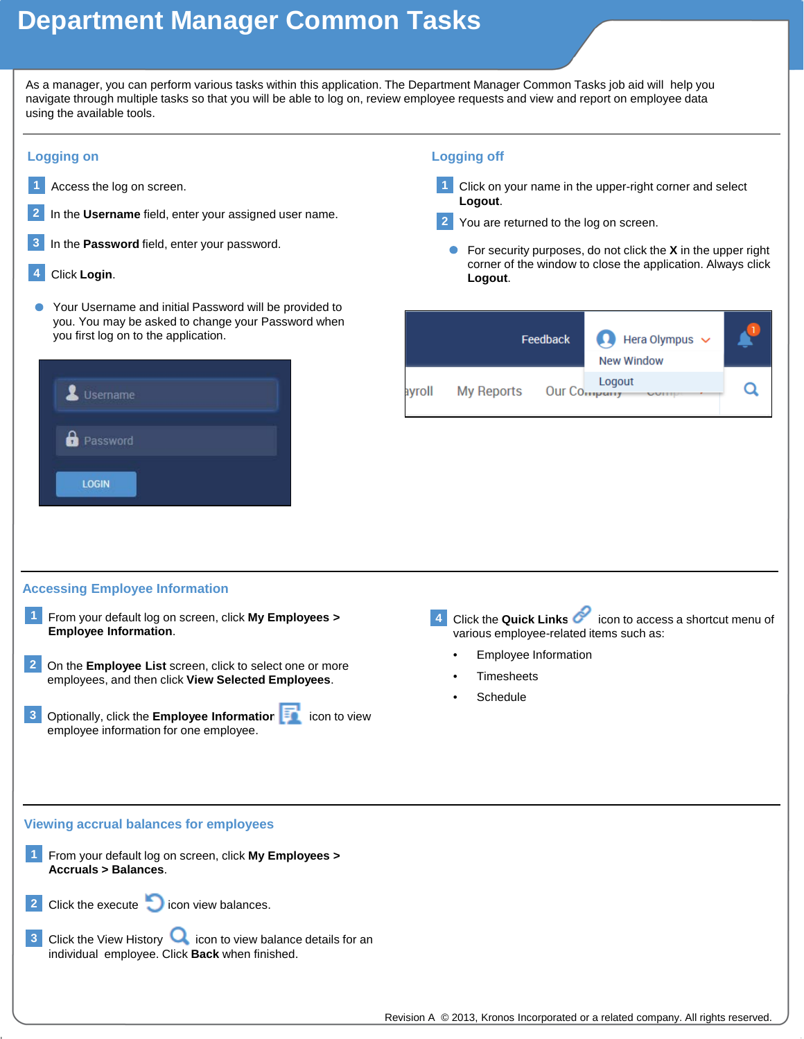## **Department Manager Common Tasks**

As a manager, you can perform various tasks within this application. The Department Manager Common Tasks job aid will help you navigate through multiple tasks so that you will be able to log on, review employee requests and view and report on employee data using the available tools.

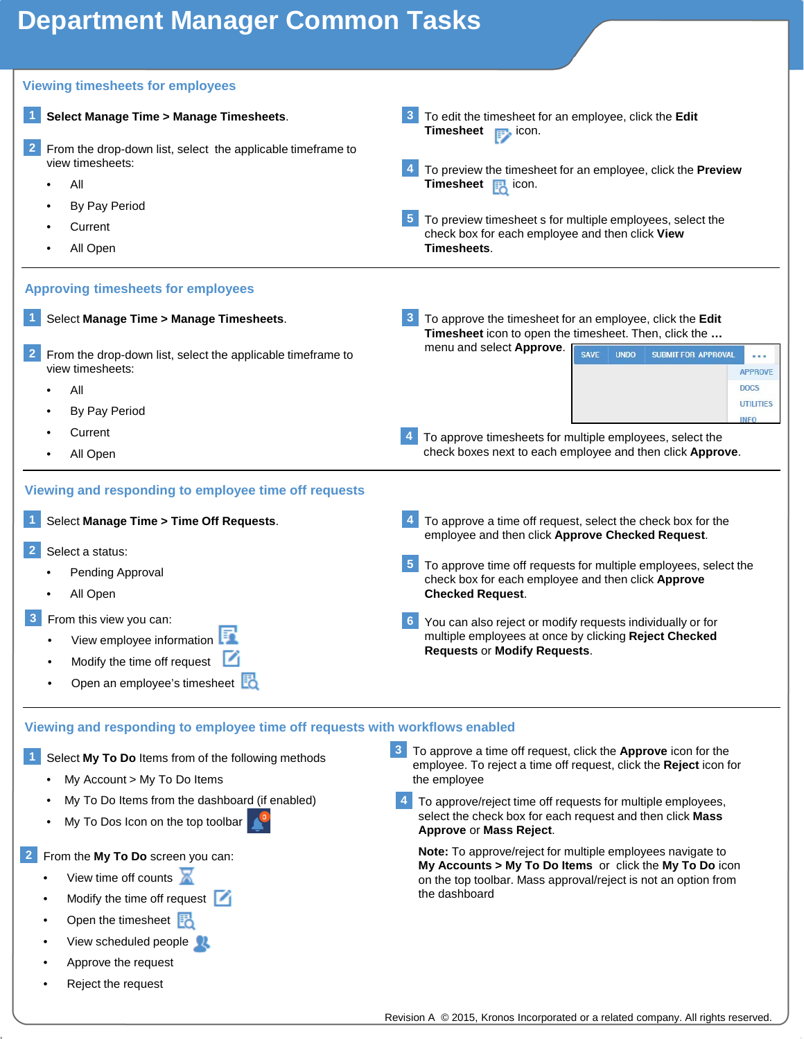### **Department Manager Common Tasks**



- View time off counts
- Modify the time off request  $\Box$
- Open the timesheet **同**
- View scheduled people  $\mathbb{Z}$
- Approve the request
- Reject the request

**My Accounts > My To Do Items** or click the **My To Do** icon on the top toolbar. Mass approval/reject is not an option from the dashboard